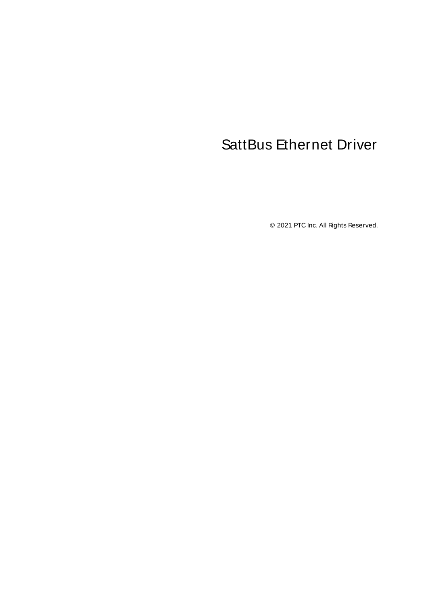# <span id="page-0-0"></span>SattBus Ethernet Driver

© 2021 PTC Inc. All Rights Reserved.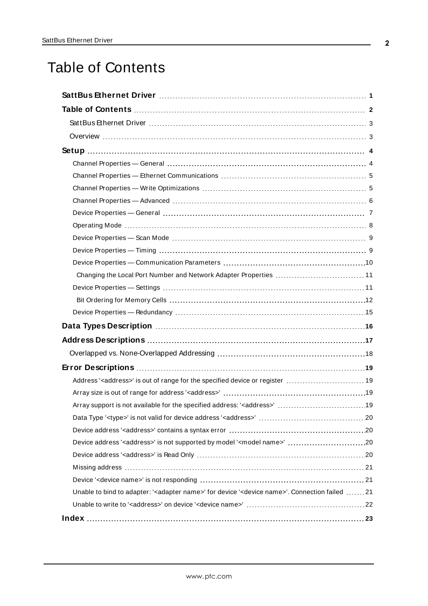# <span id="page-1-0"></span>Table of Contents

| Changing the Local Port Number and Network Adapter Properties  11                                                      |
|------------------------------------------------------------------------------------------------------------------------|
|                                                                                                                        |
|                                                                                                                        |
|                                                                                                                        |
|                                                                                                                        |
|                                                                                                                        |
|                                                                                                                        |
|                                                                                                                        |
| Address' <address>' is out of range for the specified device or register  19</address>                                 |
|                                                                                                                        |
|                                                                                                                        |
|                                                                                                                        |
|                                                                                                                        |
| Device address ' <address>' is not supported by model '<model name="">' 20</model></address>                           |
|                                                                                                                        |
|                                                                                                                        |
|                                                                                                                        |
| Unable to bind to adapter: ' <adapter name="">' for device '<device name="">'. Connection failed 21</device></adapter> |
|                                                                                                                        |
|                                                                                                                        |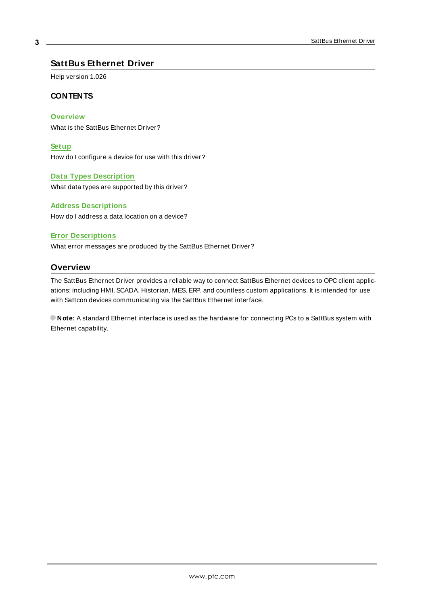## <span id="page-2-0"></span>**SattBus Ethernet Driver**

Help version 1.026

#### **CONTENTS**

**[Overview](#page-2-1)**

What is the SattBus Ethernet Driver?

#### **[Setup](#page-3-0)**

How do I configure a device for use with this driver?

#### **Data Types [Description](#page-15-0)**

What data types are supported by this driver?

#### **Address [Descriptions](#page-16-0)**

How do I address a data location on a device?

#### **Error [Descriptions](#page-18-0)**

<span id="page-2-1"></span>What error messages are produced by the SattBus Ethernet Driver?

## **Overview**

The SattBus Ethernet Driver provides a reliable way to connect SattBus Ethernet devices to OPC client applications; including HMI, SCADA, Historian, MES, ERP, and countless custom applications. It is intended for use with Sattcon devices communicating via the SattBus Ethernet interface.

**Note:** A standard Ethernet interface is used as the hardware for connecting PCs to a SattBus system with Ethernet capability.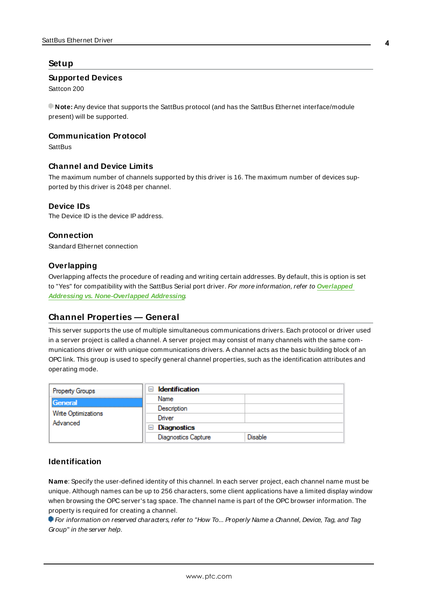#### <span id="page-3-0"></span>**Setup**

#### **Supported Devices**

Sattcon 200

**Note:** Any device that supports the SattBus protocol (and has the SattBus Ethernet interface/module present) will be supported.

#### <span id="page-3-3"></span>**Communication Protocol**

**SattBus** 

#### **Channel and Device Limits**

The maximum number of channels supported by this driver is 16. The maximum number of devices supported by this driver is 2048 per channel.

#### <span id="page-3-2"></span>**Device IDs**

The Device ID is the device IPaddress.

#### **Connection**

Standard Ethernet connection

#### **Overlapping**

Overlapping affects the procedure of reading and writing certain addresses. By default, this is option is set to "Yes" for compatibility with the SattBus Serial port driver. For more information, refer to **[Overlapped](#page-17-0) Addressing vs. [None-Overlapped](#page-17-0) Addressing**.

#### <span id="page-3-1"></span>**Channel Properties — General**

This server supports the use of multiple simultaneous communications drivers. Each protocol or driver used in a server project is called a channel. A server project may consist of many channels with the same communications driver or with unique communications drivers. A channel acts as the basic building block of an OPC link. This group is used to specify general channel properties, such as the identification attributes and operating mode.

| <b>Property Groups</b>          | $\Box$ Identification      |                |
|---------------------------------|----------------------------|----------------|
| General                         | Name                       |                |
|                                 | Description                |                |
| Write Optimizations<br>Advanced | Driver                     |                |
|                                 | Diagnostics<br>$=$         |                |
|                                 | <b>Diagnostics Capture</b> | <b>Disable</b> |

#### **Identification**

**Name**: Specify the user-defined identity of this channel. In each server project, each channel name must be unique. Although names can be up to 256 characters, some client applications have a limited display window when browsing the OPC server's tag space. The channel name is part of the OPC browser information. The property is required for creating a channel.

For information on reserved characters, refer to "How To... Properly Name a Channel, Device, Tag, and Tag Group" in the server help.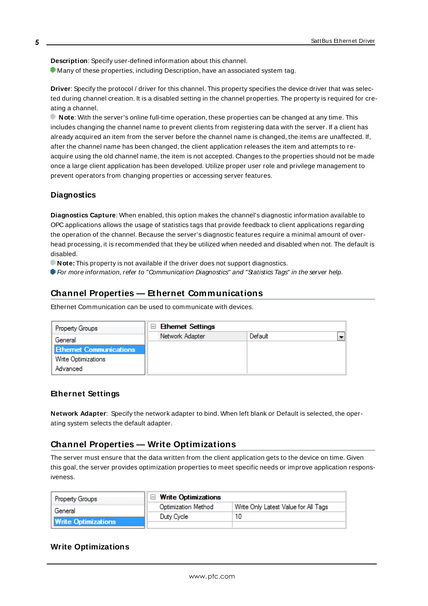**Description**: Specify user-defined information about this channel.

Many of these properties, including Description, have an associated system tag.

**Driver**: Specify the protocol / driver for this channel. This property specifies the device driver that was selected during channel creation. It is a disabled setting in the channel properties. The property is required for creating a channel.

**Note**: With the server's online full-time operation, these properties can be changed at any time. This includes changing the channel name to prevent clients from registering data with the server. If a client has already acquired an item from the server before the channel name is changed, the items are unaffected. If, after the channel name has been changed, the client application releases the item and attempts to reacquire using the old channel name, the item is not accepted. Changes to the properties should not be made once a large client application has been developed. Utilize proper user role and privilege management to prevent operators from changing properties or accessing server features.

#### **Diagnostics**

**Diagnostics Capture**: When enabled, this option makes the channel's diagnostic information available to OPC applications allows the usage of statistics tags that provide feedback to client applications regarding the operation of the channel. Because the server's diagnostic features require a minimal amount of overhead processing, it is recommended that they be utilized when needed and disabled when not. The default is disabled.

**Note:** This property is not available if the driver does not support diagnostics.

<span id="page-4-0"></span>**For more information, refer to "Communication Diagnostics" and "Statistics Tags" in the server help.** 

#### **Channel Properties — Ethernet Communications**

Ethernet Communication can be used to communicate with devices.

| <b>Property Groups</b>         | <b>Ethernet Settings</b><br>н |         |  |
|--------------------------------|-------------------------------|---------|--|
| General                        | Network Adapter               | Default |  |
| <b>Ethernet Communications</b> |                               |         |  |
| <b>Write Optimizations</b>     |                               |         |  |
| Advanced                       |                               |         |  |

#### **Ethernet Settings**

**Network Adapter**: Specify the network adapter to bind. When left blank or Default is selected, the operating system selects the default adapter.

## <span id="page-4-1"></span>**Channel Properties — Write Optimizations**

The server must ensure that the data written from the client application gets to the device on time. Given this goal, the server provides optimization properties to meet specific needs or improve application responsiveness.

| <b>Property Groups</b>     | $\Box$ Write Optimizations |                                      |
|----------------------------|----------------------------|--------------------------------------|
| General                    | Optimization Method        | Write Only Latest Value for All Tags |
|                            | Duty Cycle                 |                                      |
| <b>Write Optimizations</b> |                            |                                      |

#### **Write Optimizations**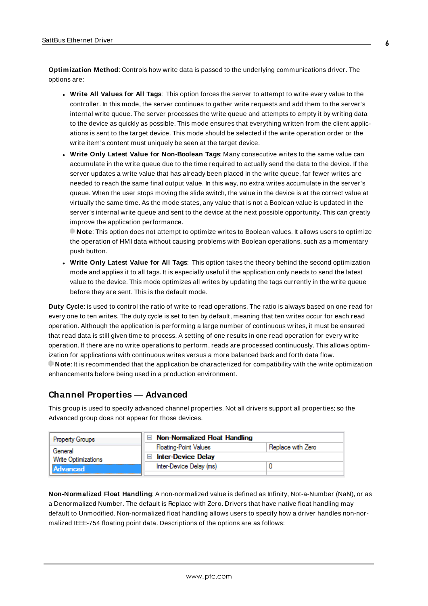**Optimization Method**: Controls how write data is passed to the underlying communications driver. The options are:

- <sup>l</sup> **Write All Values for All Tags**: This option forces the server to attempt to write every value to the controller. In this mode, the server continues to gather write requests and add them to the server's internal write queue. The server processes the write queue and attempts to empty it by writing data to the device as quickly as possible. This mode ensures that everything written from the client applications is sent to the target device. This mode should be selected if the write operation order or the write item's content must uniquely be seen at the target device.
- <sup>l</sup> **Write Only Latest Value for Non-Boolean Tags**: Many consecutive writes to the same value can accumulate in the write queue due to the time required to actually send the data to the device. If the server updates a write value that has already been placed in the write queue, far fewer writes are needed to reach the same final output value. In this way, no extra writes accumulate in the server's queue. When the user stops moving the slide switch, the value in the device is at the correct value at virtually the same time. As the mode states, any value that is not a Boolean value is updated in the server's internal write queue and sent to the device at the next possible opportunity. This can greatly improve the application performance.

**Note**: This option does not attempt to optimize writes to Boolean values. It allows users to optimize the operation of HMI data without causing problems with Boolean operations, such as a momentary push button.

**• Write Only Latest Value for All Tags**: This option takes the theory behind the second optimization mode and applies it to all tags. It is especially useful if the application only needs to send the latest value to the device. This mode optimizes all writes by updating the tags currently in the write queue before they are sent. This is the default mode.

**Duty Cycle**: is used to control the ratio of write to read operations. The ratio is always based on one read for every one to ten writes. The duty cycle is set to ten by default, meaning that ten writes occur for each read operation. Although the application is performing a large number of continuous writes, it must be ensured that read data is still given time to process. A setting of one results in one read operation for every write operation. If there are no write operations to perform, reads are processed continuously. This allows optimization for applications with continuous writes versus a more balanced back and forth data flow. **Note**: It is recommended that the application be characterized for compatibility with the write optimization enhancements before being used in a production environment.

## <span id="page-5-0"></span>**Channel Properties — Advanced**

This group is used to specify advanced channel properties. Not all drivers support all properties; so the Advanced group does not appear for those devices.

| Property Groups     | $\Box$ Non-Normalized Float Handling |                   |
|---------------------|--------------------------------------|-------------------|
| General             | <b>Floating-Point Values</b>         | Replace with Zero |
| Write Optimizations | $\Box$ Inter-Device Delay            |                   |
| Advanced            | Inter-Device Delay (ms)              |                   |
|                     |                                      |                   |

**Non-Normalized Float Handling**: A non-normalized value is defined as Infinity, Not-a-Number (NaN), or as a Denormalized Number. The default is Replace with Zero. Drivers that have native float handling may default to Unmodified. Non-normalized float handling allows users to specify how a driver handles non-normalized IEEE-754 floating point data. Descriptions of the options are as follows: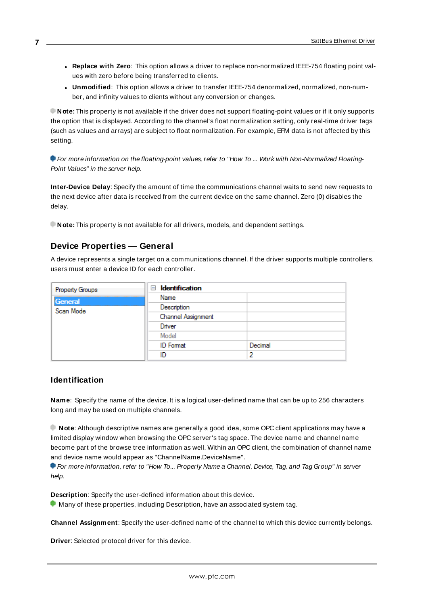- <sup>l</sup> **Replace with Zero**: This option allows a driver to replace non-normalized IEEE-754 floating point values with zero before being transferred to clients.
- <sup>l</sup> **Unmodified**: This option allows a driver to transfer IEEE-754 denormalized, normalized, non-number, and infinity values to clients without any conversion or changes.

**Note:** This property is not available if the driver does not support floating-point values or if it only supports the option that is displayed. According to the channel's float normalization setting, only real-time driver tags (such as values and arrays) are subject to float normalization. For example, EFM data is not affected by this setting.

For more information on the floating-point values, refer to "How To ... Work with Non-Normalized Floating-Point Values" in the server help.

**Inter-Device Delay**: Specify the amount of time the communications channel waits to send new requests to the next device after data is received from the current device on the same channel. Zero (0) disables the delay.

<span id="page-6-0"></span>**Note:** This property is not available for all drivers, models, and dependent settings.

## **Device Properties — General**

A device represents a single target on a communications channel. If the driver supports multiple controllers, users must enter a device ID for each controller.

| <b>Property Groups</b> | <b>Identification</b><br>$-$ |         |
|------------------------|------------------------------|---------|
| General                | Name                         |         |
| Scan Mode              | Description                  |         |
|                        | Channel Assignment           |         |
|                        | Driver                       |         |
|                        | Model                        |         |
|                        | <b>ID</b> Format             | Decimal |
|                        | ID                           | ŋ       |

#### <span id="page-6-3"></span>**Identification**

**Name**: Specify the name of the device. It is a logical user-defined name that can be up to 256 characters long and may be used on multiple channels.

**Note**: Although descriptive names are generally a good idea, some OPC client applications may have a limited display window when browsing the OPC server's tag space. The device name and channel name become part of the browse tree information as well. Within an OPC client, the combination of channel name and device name would appear as "ChannelName.DeviceName".

For more information, refer to "How To... Properly Name a Channel, Device, Tag, and Tag Group" in server help.

**Description**: Specify the user-defined information about this device.

<span id="page-6-1"></span>**Many of these properties, including Description, have an associated system tag.** 

<span id="page-6-2"></span>**Channel Assignment**: Specify the user-defined name of the channel to which this device currently belongs.

**Driver**: Selected protocol driver for this device.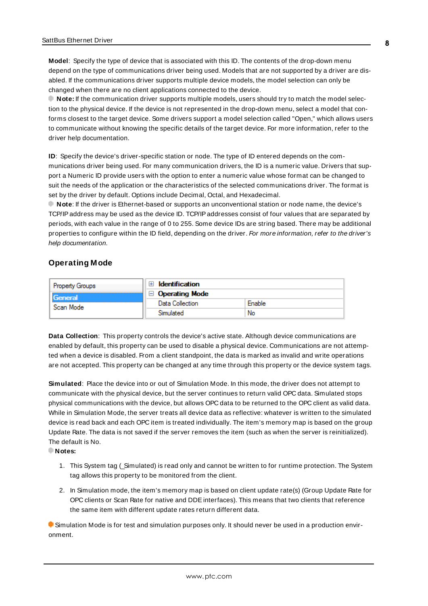<span id="page-7-3"></span>**Model**: Specify the type of device that is associated with this ID. The contents of the drop-down menu depend on the type of communications driver being used. Models that are not supported by a driver are disabled. If the communications driver supports multiple device models, the model selection can only be changed when there are no client applications connected to the device.

**Note:** If the communication driver supports multiple models, users should try to match the model selection to the physical device. If the device is not represented in the drop-down menu, select a model that conforms closest to the target device. Some drivers support a model selection called "Open," which allows users to communicate without knowing the specific details of the target device. For more information, refer to the driver help documentation.

<span id="page-7-2"></span>**ID**: Specify the device's driver-specific station or node. The type of ID entered depends on the communications driver being used. For many communication drivers, the ID is a numeric value. Drivers that support a Numeric ID provide users with the option to enter a numeric value whose format can be changed to suit the needs of the application or the characteristics of the selected communications driver. The format is set by the driver by default. Options include Decimal, Octal, and Hexadecimal.

**Note**: If the driver is Ethernet-based or supports an unconventional station or node name, the device's TCP/IPaddress may be used as the device ID. TCP/IPaddresses consist of four values that are separated by periods, with each value in the range of 0 to 255. Some device IDs are string based. There may be additional properties to configure within the ID field, depending on the driver. For more information, refer to the driver's help documentation.

#### <span id="page-7-0"></span>**Operating Mode**

| <b>Property Groups</b> | Identification               |        |
|------------------------|------------------------------|--------|
| General                | <b>Operating Mode</b><br>$-$ |        |
| Scan Mode              | Data Collection              | Enable |
|                        | Simulated                    | No     |

<span id="page-7-1"></span>**Data Collection**: This property controls the device's active state. Although device communications are enabled by default, this property can be used to disable a physical device. Communications are not attempted when a device is disabled. From a client standpoint, the data is marked as invalid and write operations are not accepted. This property can be changed at any time through this property or the device system tags.

<span id="page-7-4"></span>**Simulated**: Place the device into or out of Simulation Mode. In this mode, the driver does not attempt to communicate with the physical device, but the server continues to return valid OPC data. Simulated stops physical communications with the device, but allows OPC data to be returned to the OPC client as valid data. While in Simulation Mode, the server treats all device data as reflective: whatever is written to the simulated device is read back and each OPC item is treated individually. The item's memory map is based on the group Update Rate. The data is not saved if the server removes the item (such as when the server is reinitialized). The default is No.

**Notes:**

- 1. This System tag (\_Simulated) is read only and cannot be written to for runtime protection. The System tag allows this property to be monitored from the client.
- 2. In Simulation mode, the item's memory map is based on client update rate(s) (Group Update Rate for OPC clients or Scan Rate for native and DDEinterfaces). This means that two clients that reference the same item with different update rates return different data.

 Simulation Mode is for test and simulation purposes only. It should never be used in a production environment.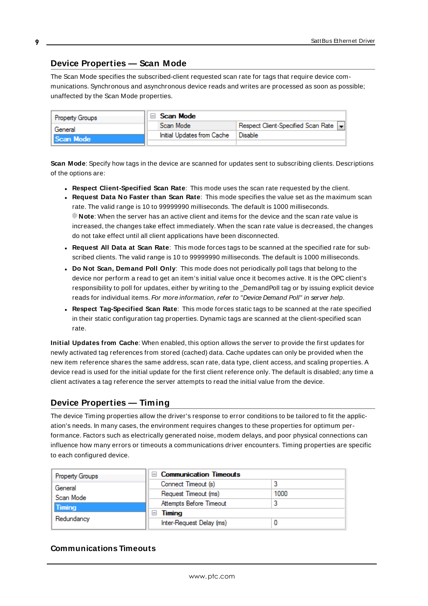## <span id="page-8-0"></span>**Device Properties — Scan Mode**

The Scan Mode specifies the subscribed-client requested scan rate for tags that require device communications. Synchronous and asynchronous device reads and writes are processed as soon as possible; unaffected by the Scan Mode properties.

| <b>Property Groups</b> | Scan Mode                  |                                    |
|------------------------|----------------------------|------------------------------------|
| General                | Scan Mode                  | Respect Client-Specified Scan Rate |
| Scan Mode              | Initial Updates from Cache | Disable                            |
|                        |                            |                                    |

<span id="page-8-6"></span>**Scan Mode**: Specify how tags in the device are scanned for updates sent to subscribing clients. Descriptions of the options are:

- <sup>l</sup> **Respect Client-Specified Scan Rate**: This mode uses the scan rate requested by the client.
- <sup>l</sup> **Request Data No Faster than Scan Rate**: This mode specifies the value set as the maximum scan rate. The valid range is 10 to 99999990 milliseconds. The default is 1000 milliseconds. **Note**: When the server has an active client and items for the device and the scan rate value is increased, the changes take effect immediately. When the scan rate value is decreased, the changes do not take effect until all client applications have been disconnected.
- <sup>l</sup> **Request All Data at Scan Rate**: This mode forces tags to be scanned at the specified rate for subscribed clients. The valid range is 10 to 99999990 milliseconds. The default is 1000 milliseconds.
- <span id="page-8-3"></span><sup>l</sup> **Do Not Scan, Demand Poll Only**: This mode does not periodically poll tags that belong to the device nor perform a read to get an item's initial value once it becomes active. It is the OPC client's responsibility to poll for updates, either by writing to the \_DemandPoll tag or by issuing explicit device reads for individual items. For more information, refer to "Device Demand Poll" in server help.
- <span id="page-8-5"></span><sup>l</sup> **Respect Tag-Specified Scan Rate**: This mode forces static tags to be scanned at the rate specified in their static configuration tag properties. Dynamic tags are scanned at the client-specified scan rate.

<span id="page-8-4"></span>**Initial Updates from Cache**: When enabled, this option allows the server to provide the first updates for newly activated tag references from stored (cached) data. Cache updates can only be provided when the new item reference shares the same address, scan rate, data type, client access, and scaling properties. A device read is used for the initial update for the first client reference only. The default is disabled; any time a client activates a tag reference the server attempts to read the initial value from the device.

## <span id="page-8-2"></span><span id="page-8-1"></span>**Device Properties — Timing**

The device Timing properties allow the driver's response to error conditions to be tailored to fit the application's needs. In many cases, the environment requires changes to these properties for optimum performance. Factors such as electrically generated noise, modem delays, and poor physical connections can influence how many errors or timeouts a communications driver encounters. Timing properties are specific to each configured device.

| <b>Property Groups</b> | <b>Communication Timeouts</b> |      |
|------------------------|-------------------------------|------|
| General                | Connect Timeout (s)           |      |
| Scan Mode              | Request Timeout (ms)          | 1000 |
| Timing                 | Attempts Before Timeout       |      |
| Redundancy             | Timing                        |      |
|                        | Inter-Request Delay (ms)      |      |

## **Communications Timeouts**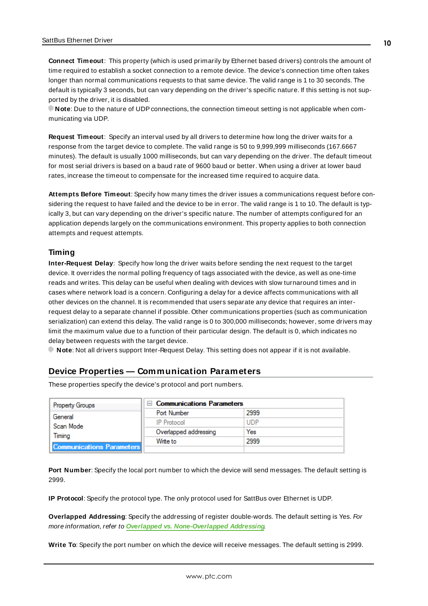<span id="page-9-2"></span>**Connect Timeout**: This property (which is used primarily by Ethernet based drivers) controls the amount of time required to establish a socket connection to a remote device. The device's connection time often takes longer than normal communications requests to that same device. The valid range is 1 to 30 seconds. The default is typically 3 seconds, but can vary depending on the driver's specific nature. If this setting is not supported by the driver, it is disabled.

**Note**: Due to the nature of UDPconnections, the connection timeout setting is not applicable when communicating via UDP.

<span id="page-9-4"></span>**Request Timeout**: Specify an interval used by all drivers to determine how long the driver waits for a response from the target device to complete. The valid range is 50 to 9,999,999 milliseconds (167.6667 minutes). The default is usually 1000 milliseconds, but can vary depending on the driver. The default timeout for most serial drivers is based on a baud rate of 9600 baud or better. When using a driver at lower baud rates, increase the timeout to compensate for the increased time required to acquire data.

<span id="page-9-1"></span>**Attempts Before Timeout**: Specify how many times the driver issues a communications request before considering the request to have failed and the device to be in error. The valid range is 1 to 10. The default is typically 3, but can vary depending on the driver's specific nature. The number of attempts configured for an application depends largely on the communications environment. This property applies to both connection attempts and request attempts.

#### <span id="page-9-3"></span>**Timing**

**Inter-Request Delay**: Specify how long the driver waits before sending the next request to the target device. It overrides the normal polling frequency of tags associated with the device, as well as one-time reads and writes. This delay can be useful when dealing with devices with slow turnaround times and in cases where network load is a concern. Configuring a delay for a device affects communications with all other devices on the channel. It is recommended that users separate any device that requires an interrequest delay to a separate channel if possible. Other communications properties (such as communication serialization) can extend this delay. The valid range is 0 to 300,000 milliseconds; however, some drivers may limit the maximum value due to a function of their particular design. The default is 0, which indicates no delay between requests with the target device.

<span id="page-9-0"></span>**Note**: Not all drivers support Inter-Request Delay. This setting does not appear if it is not available.

## **Device Properties — Communication Parameters**

These properties specify the device's protocol and port numbers.

| <b>Property Groups</b>           | $\Box$ Communications Parameters |            |
|----------------------------------|----------------------------------|------------|
| General                          | Port Number                      | 2999       |
| Scan Mode                        | <b>IP</b> Protocol               | <b>UDP</b> |
| Timina                           | Overlapped addressing            | Yes        |
|                                  | Write to                         | 2999       |
| <b>Communications Parameters</b> |                                  |            |

**Port Number**: Specify the local port number to which the device will send messages. The default setting is 2999.

**IP Protocol**: Specify the protocol type. The only protocol used for SattBus over Ethernet is UDP.

**Overlapped Addressing**: Specify the addressing of register double-words. The default setting is Yes. For more information, refer to **Overlapped vs. [None-Overlapped](#page-17-0) Addressing**.

**Write To**: Specify the port number on which the device will receive messages. The default setting is 2999.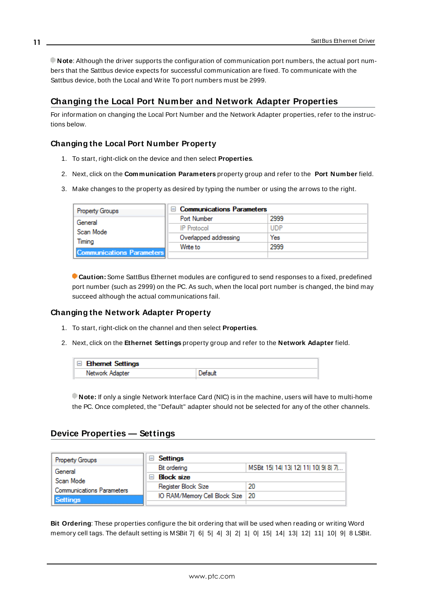**Note**: Although the driver supports the configuration of communication port numbers, the actual port numbers that the Sattbus device expects for successful communication are fixed. To communicate with the Sattbus device, both the Local and Write To port numbers must be 2999.

## <span id="page-10-0"></span>**Changing the Local Port Number and Network Adapter Properties**

For information on changing the Local Port Number and the Network Adapter properties, refer to the instructions below.

## **Changing the Local Port Number Property**

- 1. To start, right-click on the device and then select **Properties**.
- 2. Next, click on the **Communication Parameters** property group and refer to the **Port Number** field.
- 3. Make changes to the property as desired by typing the number or using the arrows to the right.

| <b>Property Groups</b>           | $\Box$ Communications Parameters |            |
|----------------------------------|----------------------------------|------------|
| General                          | <b>Port Number</b>               | 2999       |
| Scan Mode                        | <b>IP Protocol</b>               | <b>UDP</b> |
| Timina                           | Overlapped addressing            | Yes        |
|                                  | Write to                         | 2999       |
| <b>Communications Parameters</b> |                                  |            |

**Caution:** Some SattBus Ethernet modules are configured to send responses to a fixed, predefined port number (such as 2999) on the PC. As such, when the local port number is changed, the bind may succeed although the actual communications fail.

#### **Changing the Network Adapter Property**

- 1. To start, right-click on the channel and then select **Properties**.
- 2. Next, click on the **Ethernet Settings** property group and refer to the **Network Adapter** field.

| $\Box$ Ethernet Settings |         |
|--------------------------|---------|
| Network Adapter          | Default |

**Note:** If only a single Network Interface Card (NIC) is in the machine, users will have to multi-home the PC. Once completed, the "Default" adapter should not be selected for any of the other channels.

#### <span id="page-10-1"></span>**Device Properties — Settings**

| <b>Property Groups</b>           | ы | Settings                           |                               |
|----------------------------------|---|------------------------------------|-------------------------------|
| General                          |   | Bit ordering                       | MSBit 15 14 13 12 11 10 9 8 7 |
| Scan Mode                        |   | <b>Block size</b>                  |                               |
| <b>Communications Parameters</b> |   | Register Block Size                | 20                            |
|                                  |   | IO RAM/Memory Cell Block Size   20 |                               |
| <b>Settings</b>                  |   |                                    |                               |

**Bit Ordering**: These properties configure the bit ordering that will be used when reading or writing Word memory cell tags. The default setting is MSBit 7| 6| 5| 4| 3| 2| 1| 0| 15| 14| 13| 12| 11| 10| 9| 8 LSBit.

**11**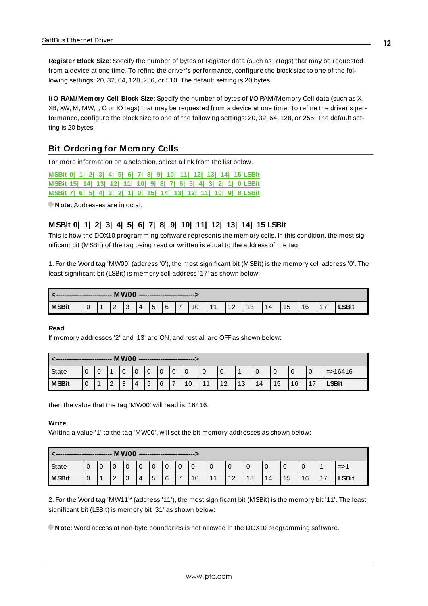**Register Block Size**: Specify the number of bytes of Register data (such as Rtags) that may be requested from a device at one time. To refine the driver's performance, configure the block size to one of the following settings: 20, 32, 64, 128, 256, or 510. The default setting is 20 bytes.

**I/O RAM/Memory Cell Block Size**: Specify the number of bytes of I/O RAM/Memory Cell data (such as X, XB, XW, M, MW, I, O or IO tags) that may be requested from a device at one time. To refine the driver's performance, configure the block size to one of the following settings: 20, 32, 64, 128, or 255. The default setting is 20 bytes.

## <span id="page-11-0"></span>**Bit Ordering for Memory Cells**

For more information on a selection, select a link from the list below.

**[MSBit](#page-11-1) 0| 1| 2| 3| 4| 5| 6| 7| 8| 9| 10| 11| 12| 13| 14| 15 LSBit [MSBit](#page-12-0) 15| 14| 13| 12| 11| 10| 9| 8| 7| 6| 5| 4| 3| 2| 1| 0 LSBit [MSBit](#page-13-0) 7| 6| 5| 4| 3| 2| 1| 0| 15| 14| 13| 12| 11| 10| 9| 8 LSBit**

<span id="page-11-1"></span>**Note**: Addresses are in octal.

## **MSBit 0| 1| 2| 3| 4| 5| 6| 7| 8| 9| 10| 11| 12| 13| 14| 15 LSBit**

This is how the DOX10 programming software represents the memory cells. In this condition, the most significant bit (MSBit) of the tag being read or written is equal to the address of the tag.

1. For the Word tag 'MW00' (address '0'), the most significant bit (MSBit) is the memory cell address '0'. The least significant bit (LSBit) is memory cell address '17' as shown below:

|              |     |     | <b>MW00</b> |   | ---------------------------- |   |    |    |    |    |    |    |    |    |    |       |
|--------------|-----|-----|-------------|---|------------------------------|---|----|----|----|----|----|----|----|----|----|-------|
| <b>MSBit</b> | l 1 | l 2 | -3          | Δ | 15                           | 6 | ۱7 | 10 | 11 | 12 | 13 | 14 | 15 | 16 | 17 | _SBit |

#### **Read**

If memory addresses '2' and '13' are ON, and rest all are OFFas shown below:

|              |               | -------------- |        | MW00   |               |             |                          | ------------------------------ |             |    |           |    |    |    |    |              |
|--------------|---------------|----------------|--------|--------|---------------|-------------|--------------------------|--------------------------------|-------------|----|-----------|----|----|----|----|--------------|
| <b>State</b> | $\Omega$<br>ັ | $\Omega$       |        |        | $\Omega$<br>ν | $\mathbf 0$ | $\overline{0}$           | $\overline{0}$                 | $\mathbf 0$ | 0  |           |    |    |    |    | $=$ > 16416  |
| <b>MSBit</b> | $\Omega$      |                | $\sim$ | ົ<br>ບ | 5             | 6           | $\overline{\phantom{a}}$ | 10                             | 11          | 12 | 12<br>ن ا | 14 | 15 | 16 | 17 | <b>LSBit</b> |

then the value that the tag 'MW00' will read is: 16416.

#### **Write**

Writing a value '1' to the tag 'MW00', will set the bit memory addresses as shown below:

|              |   | ---------------  |               |   |   | MW00 ---------------------------- |             |   |    |    |           |    |    |    |    |    |              |
|--------------|---|------------------|---------------|---|---|-----------------------------------|-------------|---|----|----|-----------|----|----|----|----|----|--------------|
| State        |   | 0                | ◡             | u | 0 |                                   | $\mathbf 0$ |   |    | 0  | 0         |    |    |    | U  |    | $!=>i$       |
| <b>MSBit</b> | v | $\boldsymbol{A}$ | $\Omega$<br>۷ | 3 | 4 | 5                                 | 6           | ⇁ | 10 | 11 | 12<br>1 Z | 13 | 14 | 15 | 16 | 17 | <b>LSBit</b> |

2. For the Word tag 'MW11'\*(address '11'), the most significant bit (MSBit) is the memory bit '11'. The least significant bit (LSBit) is memory bit '31' as shown below:

**Note**: Word access at non-byte boundaries is not allowed in the DOX10 programming software.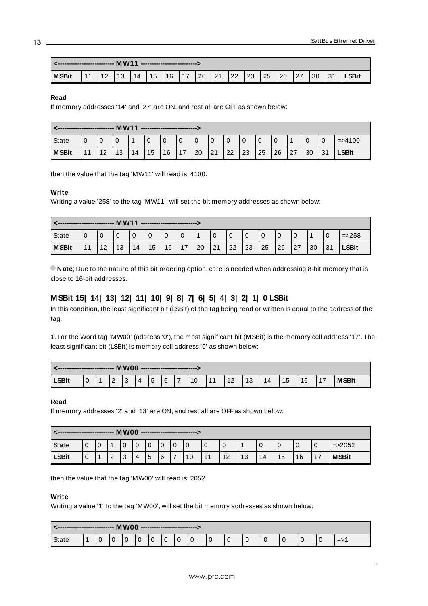|              |  | <b>MW11</b> ---------------- MW11 |  |  |                                                        |  |  |              |            |              |
|--------------|--|-----------------------------------|--|--|--------------------------------------------------------|--|--|--------------|------------|--------------|
| <b>MSBit</b> |  |                                   |  |  | 11  12  13  14  15  16  17  20  21  22  23  25  26  27 |  |  | $ 30\rangle$ | $\vert$ 31 | <b>LSBit</b> |

#### **Read**

If memory addresses '14' and '27' are ON, and rest all are OFF as shown below:

|              |    | -------------- | <b>MW11</b> |    | ----------------------------- |             |             |             |    |    |    |    |    |    |    |          |              |
|--------------|----|----------------|-------------|----|-------------------------------|-------------|-------------|-------------|----|----|----|----|----|----|----|----------|--------------|
| State        | 0  |                |             |    |                               | $\mathbf 0$ | $\mathbf 0$ | $\mathbf 0$ |    |    |    |    | 0  |    |    | $\Omega$ | $=$ > 4100   |
| <b>MSBit</b> | 11 | 12             | 13          | 14 | 15                            | 16          | 117         | 20          | 21 | 22 | 23 | 25 | 26 | 27 | 30 | 31       | <b>LSBit</b> |

then the value that the tag 'MW11' will read is: 4100.

#### **Write**

Writing a value '258' to the tag 'MW11', will set the bit memory addresses as shown below:

|              |    |    | <b>MW11</b> |    | --------------------------- |    |       |    |    |                |    |    |    |    |    |            |             |
|--------------|----|----|-------------|----|-----------------------------|----|-------|----|----|----------------|----|----|----|----|----|------------|-------------|
| State        |    |    |             | U  |                             |    |       |    | 0  | $\overline{0}$ |    |    |    |    |    |            | $=$ $>$ 258 |
| <b>MSBit</b> | 11 | 12 | 13          | 14 | 15                          | 16 | $4 -$ | 20 | 21 | 22             | 23 | 25 | 26 | 27 | 30 | 21<br>ູບ ເ | LSBit       |

<span id="page-12-0"></span>**Note**; Due to the nature of this bit ordering option, care is needed when addressing 8-bit memory that is close to 16-bit addresses.

# **MSBit 15| 14| 13| 12| 11| 10| 9| 8| 7| 6| 5| 4| 3| 2| 1| 0 LSBit**

In this condition, the least significant bit (LSBit) of the tag being read or written is equal to the address of the tag.

1. For the Word tag 'MW00' (address '0'), the most significant bit (MSBit) is the memory cell address '17'. The least significant bit (LSBit) is memory cell address '0' as shown below:

|              | ----------------- |               | <b>MW00</b> |          |   |   | --------------------------- |    |    |    |    |    |    |    |              |
|--------------|-------------------|---------------|-------------|----------|---|---|-----------------------------|----|----|----|----|----|----|----|--------------|
| <b>LSBit</b> |                   | $\Omega$<br>- |             | $\Delta$ | י | 6 | $\overline{7}$              | 11 | 12 | 13 | 14 | 15 | 16 | 17 | <b>MSBit</b> |

#### **Read**

If memory addresses '2' and '13' are ON, and rest all are OFF as shown below:

|              | ---------------- |   |                | MW00 |                |          |             |               |    |    |    |    |    |    |    |           |              |
|--------------|------------------|---|----------------|------|----------------|----------|-------------|---------------|----|----|----|----|----|----|----|-----------|--------------|
| State        | ∩<br>υ           | U |                |      | $\overline{0}$ | $\Omega$ | $\mathbf 0$ | $\Omega$<br>U |    | 0  | u  |    |    | U  |    | 0         | $=$ > 2052   |
| <b>LSBit</b> | ∩<br>υ           |   | $\overline{2}$ | 3    | 4              | 5        | 6           |               | 10 | 11 | 12 | 13 | 14 | 15 | 16 | 17<br>. . | <b>MSBit</b> |

then the value that the tag 'MW00' will read is: 2052.

#### **Write**

Writing a value '1' to the tag 'MW00', will set the bit memory addresses as shown below:

|              | --------------- |  | MW00 -------------- |        |  |  |  |             |  |               |
|--------------|-----------------|--|---------------------|--------|--|--|--|-------------|--|---------------|
| <b>State</b> |                 |  |                     | $\sim$ |  |  |  | $\sim$<br>◡ |  | $\Rightarrow$ |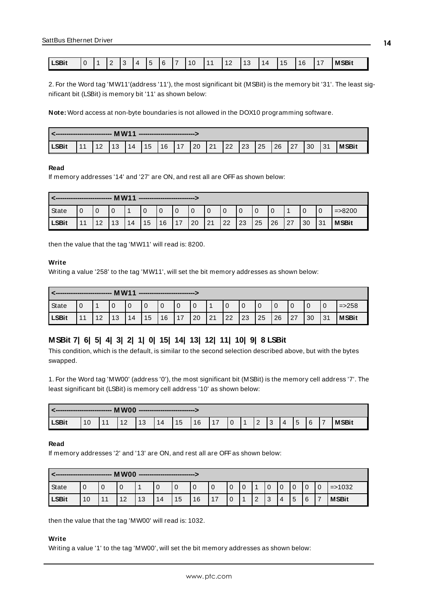| <b>LSBit</b> | $\Omega$ | $\sim$<br>- | $\Lambda$ | $-$<br>∽ | 6 | $\overline{ }$ | 10 | $\overline{A}$ | $\sqrt{2}$ | $\sqrt{2}$<br>۰,<br>v | 14 | 1F<br><b>M</b> | 16 | $\overline{\phantom{0}}$<br>17<br>. . | <b>MSBit</b> |
|--------------|----------|-------------|-----------|----------|---|----------------|----|----------------|------------|-----------------------|----|----------------|----|---------------------------------------|--------------|

2. For the Word tag 'MW11'(address '11'), the most significant bit (MSBit) is the memory bit '31'. The least significant bit (LSBit) is memory bit '11' as shown below:

**Note:** Word access at non-byte boundaries is not allowed in the DOX10 programming software.

|       |          |                                                                  | ---------------------------- |  |  |  |  |  |              |
|-------|----------|------------------------------------------------------------------|------------------------------|--|--|--|--|--|--------------|
| LSBit | $111$ 12 | <u>2</u>  13  14  15  16  17  20  21  22  23  25  26  27  30  31 |                              |  |  |  |  |  | <b>MSBit</b> |

#### **Read**

If memory addresses '14' and '27' are ON, and rest all are OFF as shown below:

|              |    |           | <b>MW11</b> |    |    |    | ---------------------------- |    |    |    |          |    |    |    |    |    |              |
|--------------|----|-----------|-------------|----|----|----|------------------------------|----|----|----|----------|----|----|----|----|----|--------------|
| State        |    |           |             |    | 0  | υ  | 0                            |    |    |    | $\Omega$ |    |    |    |    | 0  | $=$ $>$ 8200 |
| <b>LSBit</b> | 4A | 12<br>1 Z | 13          | 14 | 15 | 16 | 17                           | 20 | 21 | 22 | 23       | 25 | 26 | 27 | 30 | 31 | <b>MSBit</b> |

then the value that the tag 'MW11' will read is: 8200.

#### **Write**

Writing a value '258' to the tag 'MW11', will set the bit memory addresses as shown below:

|              |    | ---------------- | <b>MW11</b> |    | ----------------------------- |    |             |             |      |              |    |              |    |     |    |    |              |
|--------------|----|------------------|-------------|----|-------------------------------|----|-------------|-------------|------|--------------|----|--------------|----|-----|----|----|--------------|
| State        |    |                  |             |    |                               |    | $\mathbf 0$ | $\mathbf 0$ |      |              |    |              |    |     |    | 0  | $=$ > 258    |
| <b>LSBit</b> | 44 | 12               | 13          | 14 | 15                            | 16 | 17          | 20          | l 21 | $ 22\rangle$ | 23 | $\boxed{25}$ | 26 | 127 | 30 | 31 | <b>MSBit</b> |

#### <span id="page-13-0"></span>**MSBit 7| 6| 5| 4| 3| 2| 1| 0| 15| 14| 13| 12| 11| 10| 9| 8 LSBit**

This condition, which is the default, is similar to the second selection described above, but with the bytes swapped.

1. For the Word tag 'MW00' (address '0'), the most significant bit (MSBit) is the memory cell address '7'. The least significant bit (LSBit) is memory cell address '10' as shown below:

|       | -------------------- MW00 ------------ |    |   |                |    | ---------------------------- |      |     |     |     |                 |                |     |   |                |              |
|-------|----------------------------------------|----|---|----------------|----|------------------------------|------|-----|-----|-----|-----------------|----------------|-----|---|----------------|--------------|
| LSBit |                                        | 11 | L | $^{\prime}$ 13 | 14 | 15                           | l 16 | 117 | l 0 | 2 ا | $\sqrt{2}$<br>ت | $\overline{4}$ | . 5 | 6 | $\overline{1}$ | <b>MSBit</b> |

#### **Read**

If memory addresses '2' and '13' are ON, and rest all are OFF as shown below:

|              | MW00<br>-------------- |       |    |    |    |    |             |                |   |  |        |               |                |   |   |   |              |
|--------------|------------------------|-------|----|----|----|----|-------------|----------------|---|--|--------|---------------|----------------|---|---|---|--------------|
| State        |                        |       |    |    |    | 0  | $\mathbf 0$ | $\overline{0}$ | ν |  |        | $\Omega$<br>U | $\overline{0}$ | U |   |   | $=$ > 1032   |
| <b>LSBit</b> | 10                     | $-11$ | 12 | 13 | 14 | 15 | 16          | 17             |   |  | ົ<br>∠ | ני ו<br>ت     | 4              | 5 | 6 | 7 | <b>MSBit</b> |

then the value that the tag 'MW00' will read is: 1032.

## **Write**

Writing a value '1' to the tag 'MW00', will set the bit memory addresses as shown below: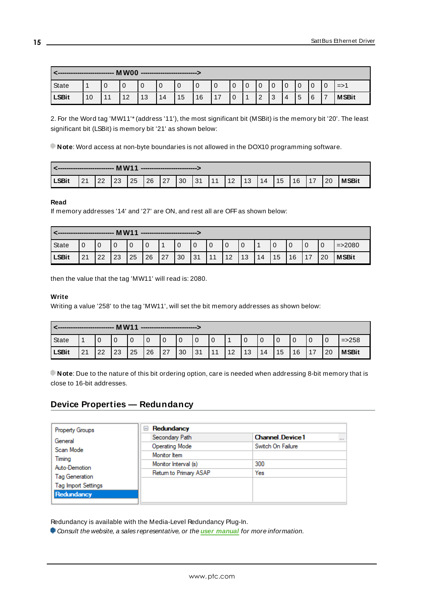|              | -------------- | MW00 |    |    | ---------------------------- |             |    |               |   |          |             |   |                |                |                |                 |
|--------------|----------------|------|----|----|------------------------------|-------------|----|---------------|---|----------|-------------|---|----------------|----------------|----------------|-----------------|
| State        |                | U    |    |    | U                            | $\mathbf 0$ | 0  | $\mathbf 0$   | 0 | $\Omega$ | $\mathbf 0$ |   | $\overline{0}$ | $\overline{0}$ | $\overline{0}$ | $\Rightarrow$ 1 |
| <b>LSBit</b> | 10             | 12   | 13 | 14 | 15                           | 16          | 17 | $\Omega$<br>υ |   | ົ<br>∠   | 3           | 4 | 5              | 6              | $\overline{ }$ | <b>MSBit</b>    |

2. For the Word tag 'MW11'\*(address '11'), the most significant bit (MSBit) is the memory bit '20'. The least significant bit (LSBit) is memory bit '21' as shown below:

**Note**: Word access at non-byte boundaries is not allowed in the DOX10 programming software.

|       |    |     |      | ----------------------------                                   |  |  |  |  |  |              |
|-------|----|-----|------|----------------------------------------------------------------|--|--|--|--|--|--------------|
| LSBit | 21 | 122 | l 23 | 25   26   27   30   31   11   12   13   14   15   16   17   20 |  |  |  |  |  | <b>MSBit</b> |

#### **Read**

If memory addresses '14' and '27' are ON, and rest all are OFF as shown below:

|              | <b>MW11</b><br>--------------<br>---------------------------- |    |    |    |           |    |                |    |    |    |    |    |                |    |    |    |              |
|--------------|---------------------------------------------------------------|----|----|----|-----------|----|----------------|----|----|----|----|----|----------------|----|----|----|--------------|
| State        |                                                               |    |    |    | U         |    | $\overline{0}$ |    |    |    | ν  |    | $\overline{0}$ |    |    | U  | $=$ > 2080   |
| <b>LSBit</b> | 21                                                            | 22 | 23 | 25 | <b>26</b> | 27 | 30             | 31 | 11 | 12 | 13 | 14 | 15             | 16 | 17 | 20 | <b>MSBit</b> |

then the value that the tag 'MW11' will read is: 2080.

#### **Write**

Writing a value '258' to the tag 'MW11', will set the bit memory addresses as shown below:

|              |    | ------------------ | <b>MW11</b> |    | ----------------------------- |    |             |    |    |           |    |    |    |    |    |              |
|--------------|----|--------------------|-------------|----|-------------------------------|----|-------------|----|----|-----------|----|----|----|----|----|--------------|
| State        |    |                    |             |    |                               | υ  | $\mathbf 0$ | 0  | 0  |           |    |    |    |    | 0  | $=$ > 258    |
| <b>LSBit</b> | 21 | 22                 | 23          | 25 | 26                            | 27 | 30          | 31 | 11 | 12<br>ے ا | 13 | 14 | 15 | 16 | 20 | <b>MSBit</b> |

**Note**: Due to the nature of this bit ordering option, care is needed when addressing 8-bit memory that is close to 16-bit addresses.

# <span id="page-14-0"></span>**Device Properties — Redundancy**

| <b>Property Groups</b>     | $\Box$ Redundancy      |                                    |
|----------------------------|------------------------|------------------------------------|
| General                    | Secondary Path         | <b>Channel Device1</b><br>$\cdots$ |
| Scan Mode                  | <b>Operating Mode</b>  | Switch On Failure                  |
| Timing                     | Monitor Item           |                                    |
| Auto-Demotion              | Monitor Interval (s)   | 300                                |
| Tag Generation             | Return to Primary ASAP | Yes                                |
| <b>Tag Import Settings</b> |                        |                                    |
| Redundancy                 |                        |                                    |
|                            |                        |                                    |

Redundancy is available with the Media-Level Redundancy Plug-In.

Consult the website, a sales representative, or the **user [manual](https://www.kepware.com/getattachment/35461efd-b53a-4219-a109-a89fad20b230/media-level-redundancy-manual.pdf)** for more information.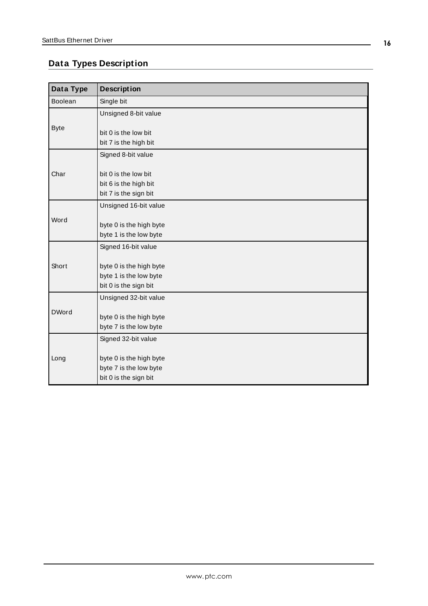# <span id="page-15-0"></span>**Data Types Description**

<span id="page-15-5"></span><span id="page-15-4"></span><span id="page-15-3"></span><span id="page-15-2"></span><span id="page-15-1"></span>

| Data Type    | <b>Description</b>                                                         |
|--------------|----------------------------------------------------------------------------|
| Boolean      | Single bit                                                                 |
|              | Unsigned 8-bit value                                                       |
| <b>Byte</b>  | bit 0 is the low bit<br>bit 7 is the high bit                              |
|              | Signed 8-bit value                                                         |
| Char         | bit 0 is the low bit<br>bit 6 is the high bit<br>bit 7 is the sign bit     |
|              | Unsigned 16-bit value                                                      |
| Word         | byte 0 is the high byte<br>byte 1 is the low byte                          |
|              | Signed 16-bit value                                                        |
| Short        | byte 0 is the high byte<br>byte 1 is the low byte<br>bit 0 is the sign bit |
|              | Unsigned 32-bit value                                                      |
| <b>DWord</b> | byte 0 is the high byte<br>byte 7 is the low byte                          |
|              | Signed 32-bit value                                                        |
| Long         | byte 0 is the high byte<br>byte 7 is the low byte<br>bit 0 is the sign bit |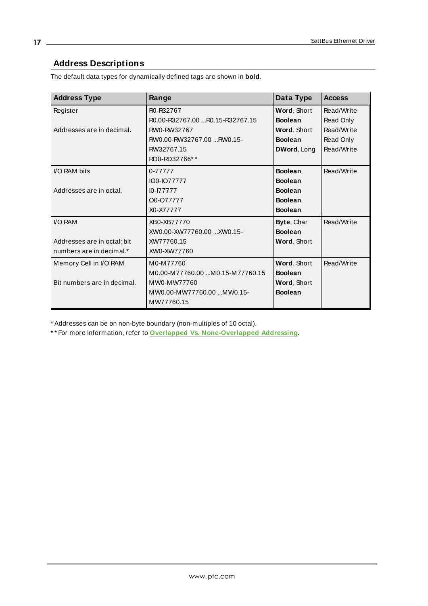# <span id="page-16-0"></span>**Address Descriptions**

The default data types for dynamically defined tags are shown in **bold**.

| <b>Address Type</b>         | Range                                    | Data Type      | <b>Access</b> |
|-----------------------------|------------------------------------------|----------------|---------------|
| Register                    | R0-R32767                                | Word, Short    | Read/Write    |
|                             | R0.00-R32767.00 R0.15-R32767.15          | <b>Boolean</b> | Read Only     |
| Addresses are in decimal.   | RW0-RW32767                              | Word, Short    | Read/Write    |
|                             | RW0.00-RW32767.00 RW0.15-                | <b>Boolean</b> | Read Only     |
|                             | RW32767.15                               | DWord, Long    | Read/Write    |
|                             | RD0-RD32766**                            |                |               |
| I/O RAM bits                | 0-77777                                  | <b>Boolean</b> | Read/Write    |
|                             | IO0-IO77777                              | <b>Boolean</b> |               |
| Addresses are in octal.     | $10 - 177777$                            | <b>Boolean</b> |               |
|                             | O0-O77777                                | <b>Boolean</b> |               |
|                             | X0-X77777                                | <b>Boolean</b> |               |
| I/O RAM                     | XB0-XB77770                              | Byte, Char     | Read/Write    |
|                             | XW0.00-XW77760.00 XW0.15-                | <b>Boolean</b> |               |
| Addresses are in octal; bit | XW77760.15                               | Word, Short    |               |
| numbers are in decimal.*    | XW0-XW77760                              |                |               |
| Memory Cell in I/O RAM      | M0-M77760                                | Word, Short    | Read/Write    |
|                             | M0.00-M77760.00 M0.15-M77760.15          | <b>Boolean</b> |               |
| Bit numbers are in decimal. | MW0-MW77760                              | Word, Short    |               |
|                             | MW0.00-MW77760.00  MW0.15-<br>MW77760.15 | <b>Boolean</b> |               |

\* Addresses can be on non-byte boundary (non-multiples of 10 octal).

\* \* For more information, refer to **Overlapped Vs. [None-Overlapped](#page-17-0) Addressing**.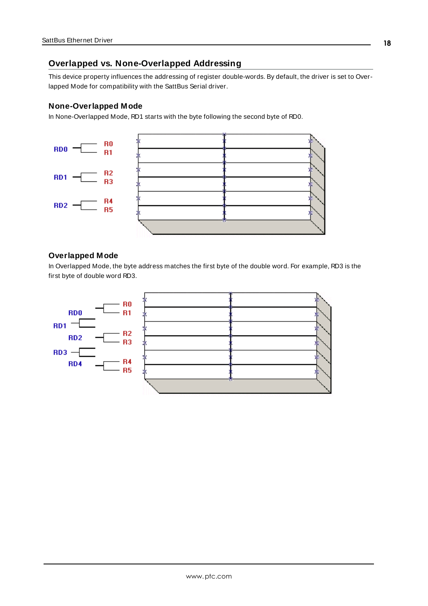## <span id="page-17-0"></span>**Overlapped vs. None-Overlapped Addressing**

This device property influences the addressing of register double-words. By default, the driver is set to Overlapped Mode for compatibility with the SattBus Serial driver.

#### **None-Overlapped Mode**

In None-Overlapped Mode, RD1 starts with the byte following the second byte of RD0.



## **Overlapped Mode**

In Overlapped Mode, the byte address matches the first byte of the double word. For example, RD3 is the first byte of double word RD3.

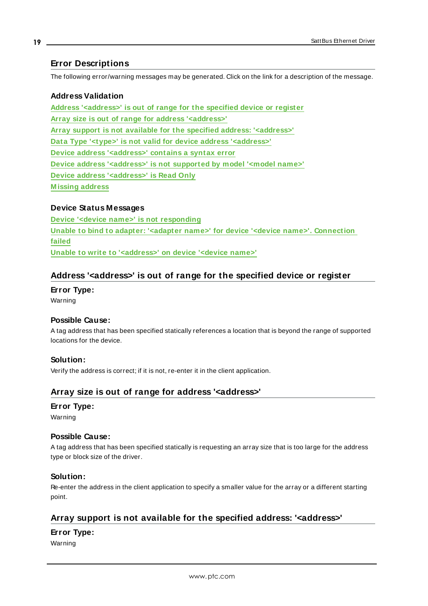# <span id="page-18-0"></span>**Error Descriptions**

The following error/warning messages may be generated. Click on the link for a description of the message.

# **Address Validation Address ['<address>'](#page-18-1) is out of range for the specified device or register Array size is out of range for address ['<address>'](#page-18-2) Array support is not available for the specified address: ['<address>'](#page-18-3) Data Type '<type>' is not valid for device address ['<address>'](#page-19-0) Device address ['<address>'](#page-19-1) contains a syntax error Device address ['<address>'](#page-19-2) is not supported by model '<model name>' Device address ['<address>'](#page-19-3) is Read Only [M issing](#page-20-0) address**

## **Device Status Messages**

**Device '<device name>' is not [responding](#page-20-1) Unable to bind to adapter: '<adapter name>' for device '<device name>'. [Connection](#page-20-2) [failed](#page-20-2) Unable to write to ['<address>'](#page-21-0) on device '<device name>'**

## <span id="page-18-1"></span>**Address '<address>' is out of range for the specified device or register**

**Error Type:** Warning

#### **Possible Cause:**

A tag address that has been specified statically references a location that is beyond the range of supported locations for the device.

## **Solution:**

<span id="page-18-2"></span>Verify the address is correct; if it is not, re-enter it in the client application.

# **Array size is out of range for address '<address>'**

#### **Error Type:**

Warning

#### **Possible Cause:**

A tag address that has been specified statically is requesting an array size that is too large for the address type or block size of the driver.

#### **Solution:**

Re-enter the address in the client application to specify a smaller value for the array or a different starting point.

# <span id="page-18-3"></span>**Array support is not available for the specified address: '<address>'**

#### **Error Type:**

Warning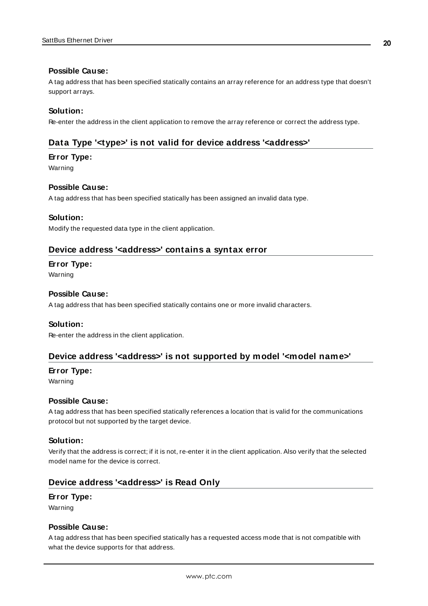#### **Possible Cause:**

A tag address that has been specified statically contains an array reference for an address type that doesn't support arrays.

#### **Solution:**

<span id="page-19-0"></span>Re-enter the address in the client application to remove the array reference or correct the address type.

## **Data Type '<type>' is not valid for device address '<address>'**

#### **Error Type:**

Warning

#### **Possible Cause:**

A tag address that has been specified statically has been assigned an invalid data type.

#### **Solution:**

<span id="page-19-1"></span>Modify the requested data type in the client application.

#### **Device address '<address>' contains a syntax error**

#### **Error Type:**

Warning

#### **Possible Cause:**

A tag address that has been specified statically contains one or more invalid characters.

#### **Solution:**

<span id="page-19-2"></span>Re-enter the address in the client application.

#### **Device address '<address>' is not supported by model '<model name>'**

#### **Error Type:**

Warning

#### **Possible Cause:**

A tag address that has been specified statically references a location that is valid for the communications protocol but not supported by the target device.

#### **Solution:**

Verify that the address is correct; if it is not, re-enter it in the client application. Also verify that the selected model name for the device is correct.

#### <span id="page-19-3"></span>**Device address '<address>' is Read Only**

# **Error Type:**

Warning

#### **Possible Cause:**

A tag address that has been specified statically has a requested access mode that is not compatible with what the device supports for that address.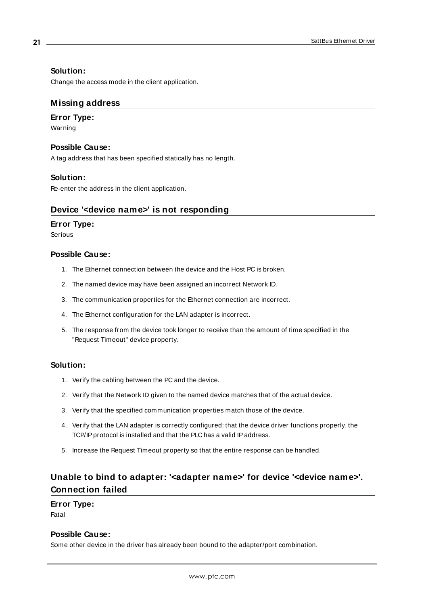## **Solution:**

<span id="page-20-0"></span>Change the access mode in the client application.

## **Missing address**

## **Error Type:**

Warning

## **Possible Cause:**

A tag address that has been specified statically has no length.

## **Solution:**

<span id="page-20-1"></span>Re-enter the address in the client application.

# **Device '<device name>' is not responding**

## **Error Type:**

Serious

## **Possible Cause:**

- 1. The Ethernet connection between the device and the Host PC is broken.
- 2. The named device may have been assigned an incorrect Network ID.
- 3. The communication properties for the Ethernet connection are incorrect.
- 4. The Ethernet configuration for the LAN adapter is incorrect.
- 5. The response from the device took longer to receive than the amount of time specified in the "Request Timeout" device property.

## **Solution:**

- 1. Verify the cabling between the PC and the device.
- 2. Verify that the Network ID given to the named device matches that of the actual device.
- 3. Verify that the specified communication properties match those of the device.
- 4. Verify that the LAN adapter is correctly configured: that the device driver functions properly, the TCP/IP protocol is installed and that the PLC has a valid IP address.
- 5. Increase the Request Timeout property so that the entire response can be handled.

# <span id="page-20-2"></span>**Unable to bind to adapter: '<adapter name>' for device '<device name>'. Connection failed**

# **Error Type:**

Fatal

## **Possible Cause:**

Some other device in the driver has already been bound to the adapter/port combination.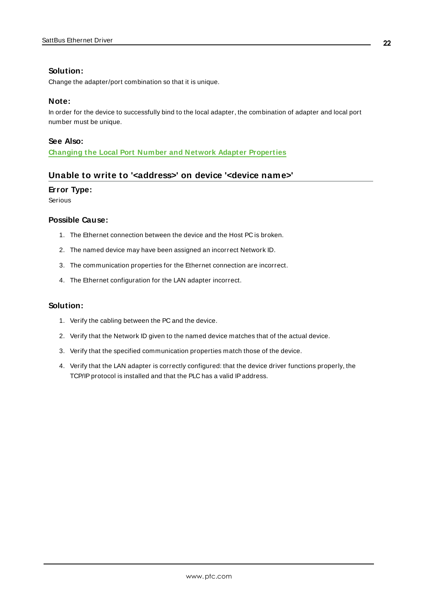## **Solution:**

Change the adapter/port combination so that it is unique.

#### **Note:**

In order for the device to successfully bind to the local adapter, the combination of adapter and local port number must be unique.

#### **See Also:**

<span id="page-21-0"></span>**Changing the Local Port Number and Network Adapter [Properties](#page-10-0)**

## **Unable to write to '<address>' on device '<device name>'**

#### **Error Type:**

Serious

#### **Possible Cause:**

- 1. The Ethernet connection between the device and the Host PC is broken.
- 2. The named device may have been assigned an incorrect Network ID.
- 3. The communication properties for the Ethernet connection are incorrect.
- 4. The Ethernet configuration for the LAN adapter incorrect.

#### **Solution:**

- 1. Verify the cabling between the PC and the device.
- 2. Verify that the Network ID given to the named device matches that of the actual device.
- 3. Verify that the specified communication properties match those of the device.
- 4. Verify that the LAN adapter is correctly configured: that the device driver functions properly, the TCP/IP protocol is installed and that the PLC has a valid IP address.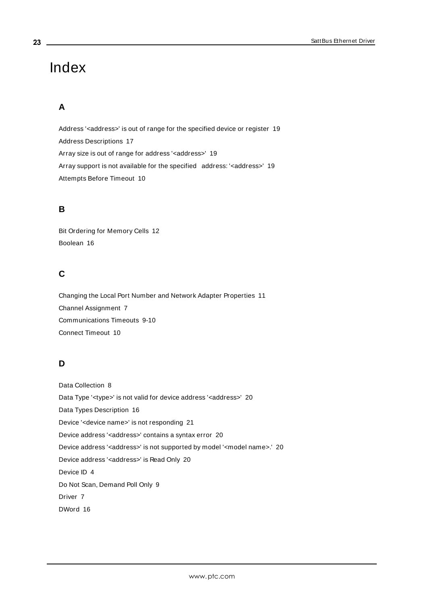# <span id="page-22-0"></span>Index

# **A**

Address '< address>' is out of range for the specified device or register [19](#page-18-1) Address Descriptions [17](#page-16-0) Array size is out of range for address '<address>' [19](#page-18-2) Array support is not available for the specified address: '< address>' [19](#page-18-3) Attempts Before Timeout [10](#page-9-1)

# **B**

Bit Ordering for Memory Cells [12](#page-11-0) Boolean [16](#page-15-1)

# **C**

Changing the Local Port Number and Network Adapter Properties [11](#page-10-0) Channel Assignment [7](#page-6-1) Communications Timeouts [9-10](#page-8-2) Connect Timeout [10](#page-9-2)

# **D**

Data Collection [8](#page-7-1) Data Type '<type>' is not valid for device address '<address>' [20](#page-19-0) Data Types Description [16](#page-15-0) Device '<device name>' is not responding [21](#page-20-1) Device address '< address>' contains a syntax error [20](#page-19-1) Device address '<address>' is not supported by model '<model name>.' [20](#page-19-2) Device address '< address>' is Read Only [20](#page-19-3) Device ID [4](#page-3-2) Do Not Scan, Demand Poll Only [9](#page-8-3) Driver [7](#page-6-2) DWord [16](#page-15-2)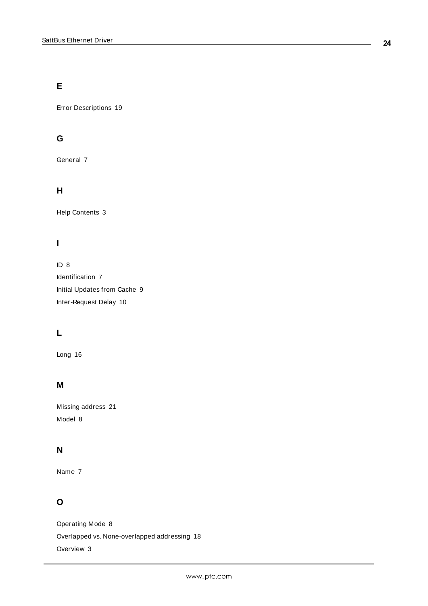# **E**

Error Descriptions [19](#page-18-0)

# **G**

General [7](#page-6-0)

# **H**

Help Contents [3](#page-2-0)

# **I**

ID [8](#page-7-2) Identification [7](#page-6-0) Initial Updates from Cache [9](#page-8-4) Inter-Request Delay [10](#page-9-3)

# **L**

Long [16](#page-15-3)

# **M**

Missing address [21](#page-20-0) Model [8](#page-7-3)

# **N**

Name [7](#page-6-3)

# **O**

Operating Mode [8](#page-7-0) Overlapped vs. None-overlapped addressing [18](#page-17-0) Overview [3](#page-2-1)